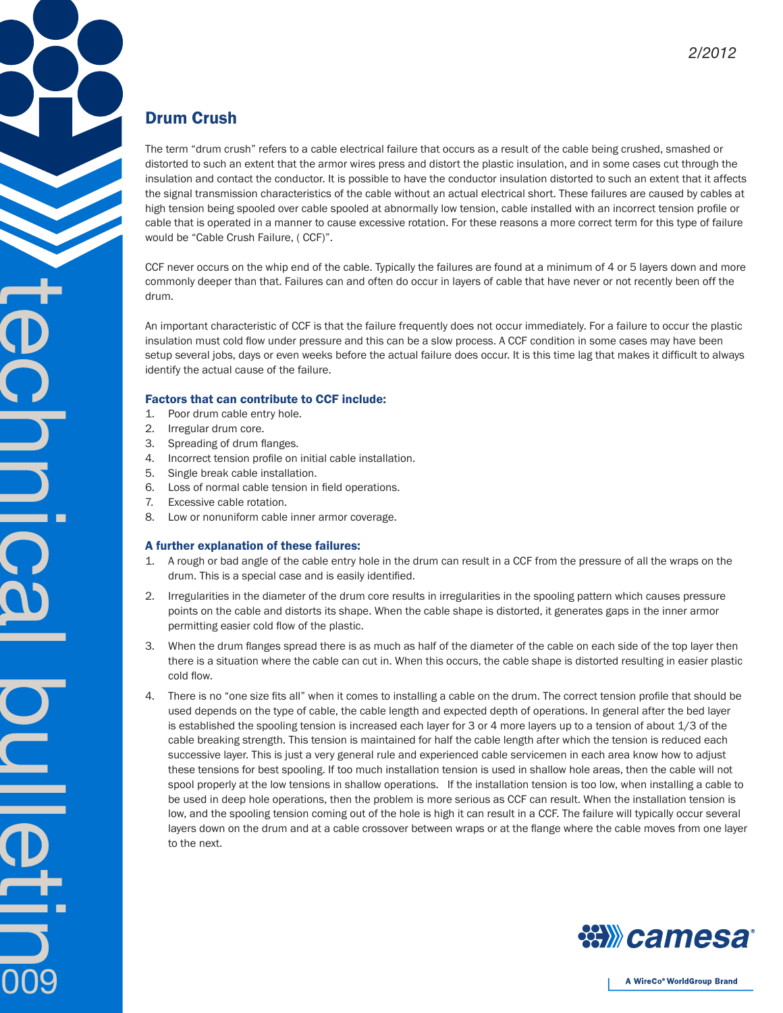## Drum Crush

The term "drum crush" refers to a cable electrical failure that occurs as a result of the cable being crushed, smashed or distorted to such an extent that the armor wires press and distort the plastic insulation, and in some cases cut through the insulation and contact the conductor. It is possible to have the conductor insulation distorted to such an extent that it affects the signal transmission characteristics of the cable without an actual electrical short. These failures are caused by cables at high tension being spooled over cable spooled at abnormally low tension, cable installed with an incorrect tension profile or cable that is operated in a manner to cause excessive rotation. For these reasons a more correct term for this type of failure would be "Cable Crush Failure, ( CCF)".

CCF never occurs on the whip end of the cable. Typically the failures are found at a minimum of 4 or 5 layers down and more commonly deeper than that. Failures can and often do occur in layers of cable that have never or not recently been off the drum.

An important characteristic of CCF is that the failure frequently does not occur immediately. For a failure to occur the plastic insulation must cold flow under pressure and this can be a slow process. A CCF condition in some cases may have been setup several jobs, days or even weeks before the actual failure does occur. It is this time lag that makes it difficult to always identify the actual cause of the failure.

## Factors that can contribute to CCF include:

- 1. Poor drum cable entry hole.
- 2. Irregular drum core.
- 3. Spreading of drum flanges.
- 4. Incorrect tension profile on initial cable installation.
- 5. Single break cable installation.
- 6. Loss of normal cable tension in field operations.
- 7. Excessive cable rotation.

technical buletin

009

8. Low or nonuniform cable inner armor coverage.

## A further explanation of these failures:

- 1. A rough or bad angle of the cable entry hole in the drum can result in a CCF from the pressure of all the wraps on the drum. This is a special case and is easily identified.
- 2. Irregularities in the diameter of the drum core results in irregularities in the spooling pattern which causes pressure points on the cable and distorts its shape. When the cable shape is distorted, it generates gaps in the inner armor permitting easier cold flow of the plastic.
- 3. When the drum flanges spread there is as much as half of the diameter of the cable on each side of the top layer then there is a situation where the cable can cut in. When this occurs, the cable shape is distorted resulting in easier plastic cold flow.
- 4. There is no "one size fits all" when it comes to installing a cable on the drum. The correct tension profile that should be used depends on the type of cable, the cable length and expected depth of operations. In general after the bed layer is established the spooling tension is increased each layer for 3 or 4 more layers up to a tension of about 1/3 of the cable breaking strength. This tension is maintained for half the cable length after which the tension is reduced each successive layer. This is just a very general rule and experienced cable servicemen in each area know how to adjust these tensions for best spooling. If too much installation tension is used in shallow hole areas, then the cable will not spool properly at the low tensions in shallow operations. If the installation tension is too low, when installing a cable to be used in deep hole operations, then the problem is more serious as CCF can result. When the installation tension is low, and the spooling tension coming out of the hole is high it can result in a CCF. The failure will typically occur several layers down on the drum and at a cable crossover between wraps or at the flange where the cable moves from one layer to the next.